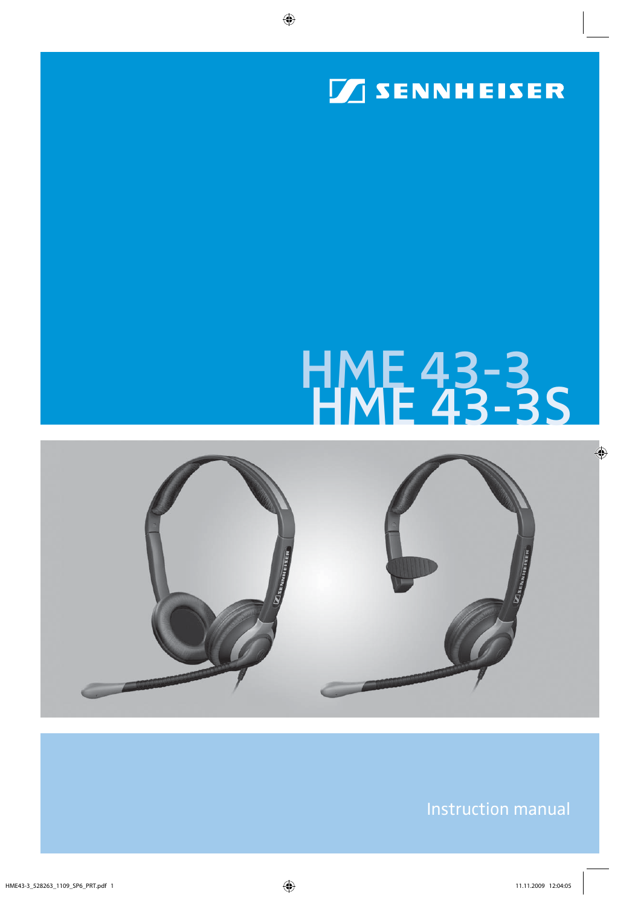

# HME 43-3<br>HME 43-3S



Instruction manual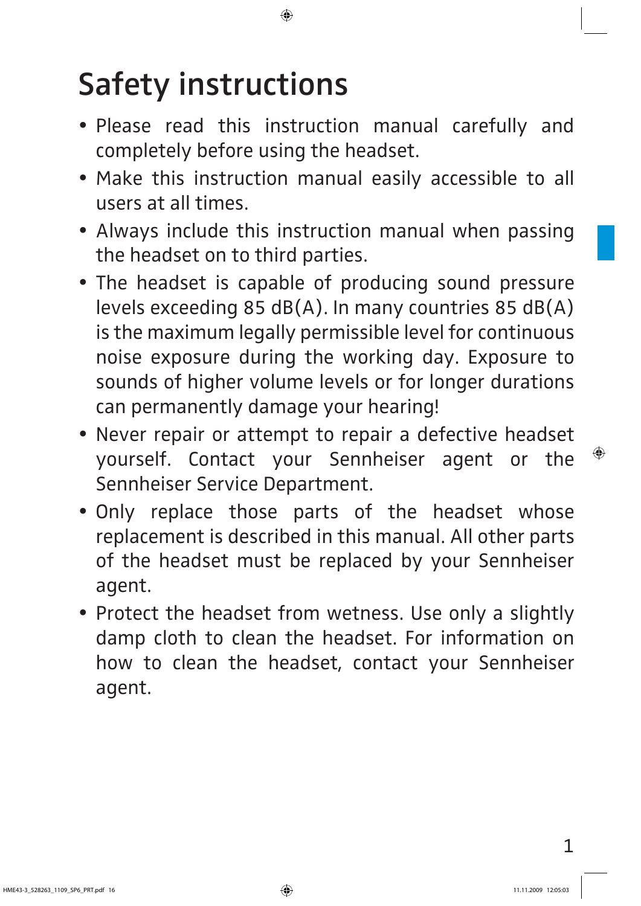# **Safety instructions**

- Please read this instruction manual carefully and completely before using the headset.
- Make this instruction manual easily accessible to all users at all times.
- Always include this instruction manual when passing the headset on to third parties.
- The headset is capable of producing sound pressure levels exceeding 85 dB(A). In many countries 85 dB(A) is the maximum legally permissible level for continuous noise exposure during the working day. Exposure to sounds of higher volume levels or for longer durations can permanently damage your hearing!
- Never repair or attempt to repair a defective headset yourself. Contact your Sennheiser agent or the Sennheiser Service Department.
- Only replace those parts of the headset whose replacement is described in this manual. All other parts of the headset must be replaced by your Sennheiser agent.
- Protect the headset from wetness. Use only a slightly damp cloth to clean the headset. For information on how to clean the headset, contact your Sennheiser agent.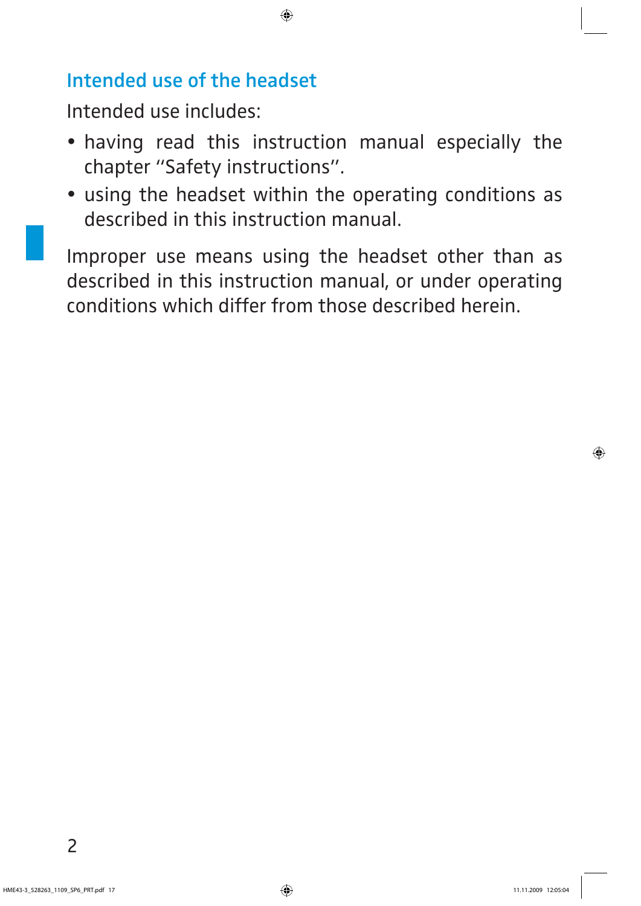#### **Intended use of the headset**

Intended use includes:

- having read this instruction manual especially the chapter "Safety instructions".
- using the headset within the operating conditions as described in this instruction manual.

Improper use means using the headset other than as described in this instruction manual, or under operating conditions which differ from those described herein.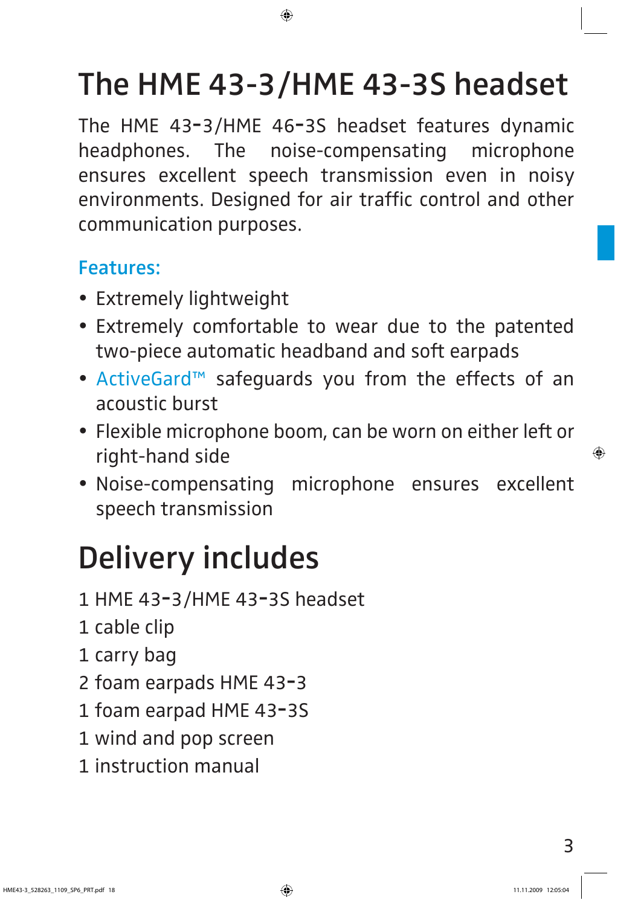### **The HME 43-3/HME 43-3S headset**

The HME 43**-**3/HME 46**-**3S headset features dynamic headphones. The noise-compensating microphone ensures excellent speech transmission even in noisy environments. Designed for air traffic control and other communication purposes.

#### **Features:**

- Extremely lightweight
- Extremely comfortable to wear due to the patented two-piece automatic headband and soft earpads
- ActiveGard™ safeguards you from the effects of an acoustic burst
- Flexible microphone boom, can be worn on either left or right-hand side
- Noise-compensating microphone ensures excellent speech transmission

### **Delivery includes**

- 1 HME 43**-**3/HME 43**-**3S headset
- 1 cable clip
- 1 carry bag
- 2 foam earpads HME 43**-**3
- 1 foam earpad HME 43**-**3S
- 1 wind and pop screen
- 1 instruction manual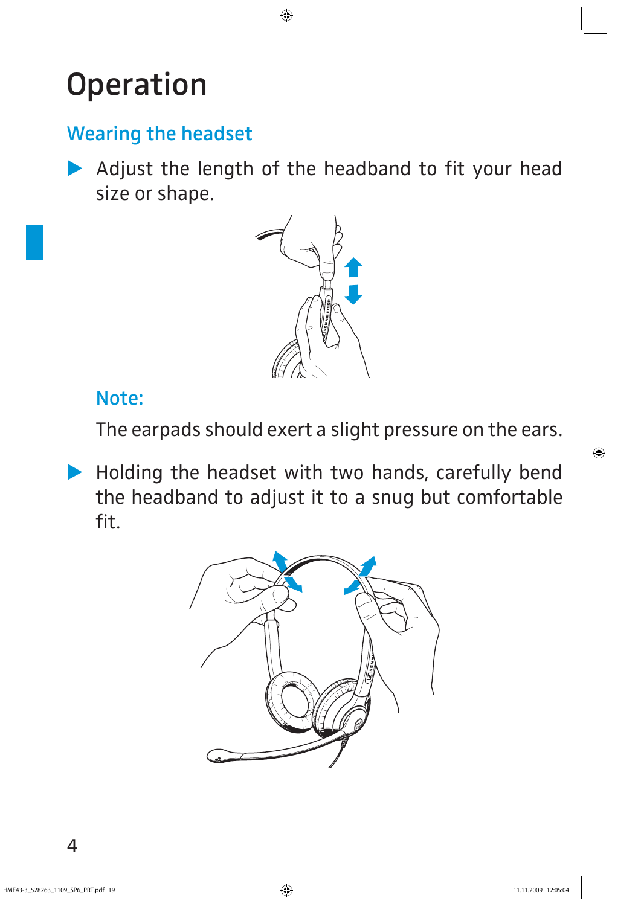### **Operation**

#### **Wearing the headset**

 $\blacktriangleright$  Adjust the length of the headband to fit your head size or shape.



#### **Note:**

The earpads should exert a slight pressure on the ears.

- Holding the headset with two hands, carefully bend the headband to adjust it to a snug but comfortable fit.

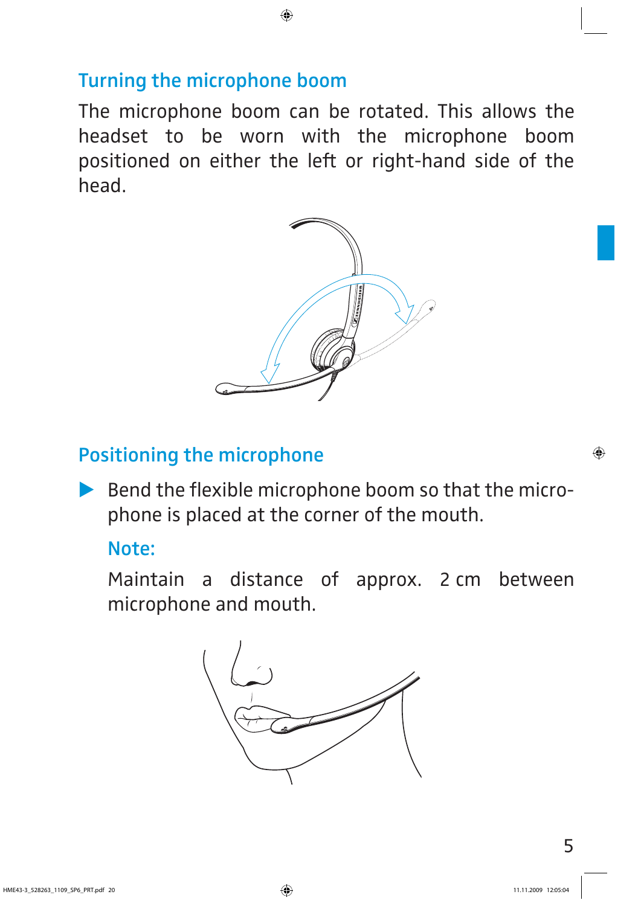#### **Turning the microphone boom**

The microphone boom can be rotated. This allows the headset to be worn with the microphone boom positioned on either the left or right-hand side of the head.



#### **Positioning the microphone**

 $\blacktriangleright$  Bend the flexible microphone boom so that the microphone is placed at the corner of the mouth.

#### **Note:**

Maintain a distance of approx. 2 cm between microphone and mouth.

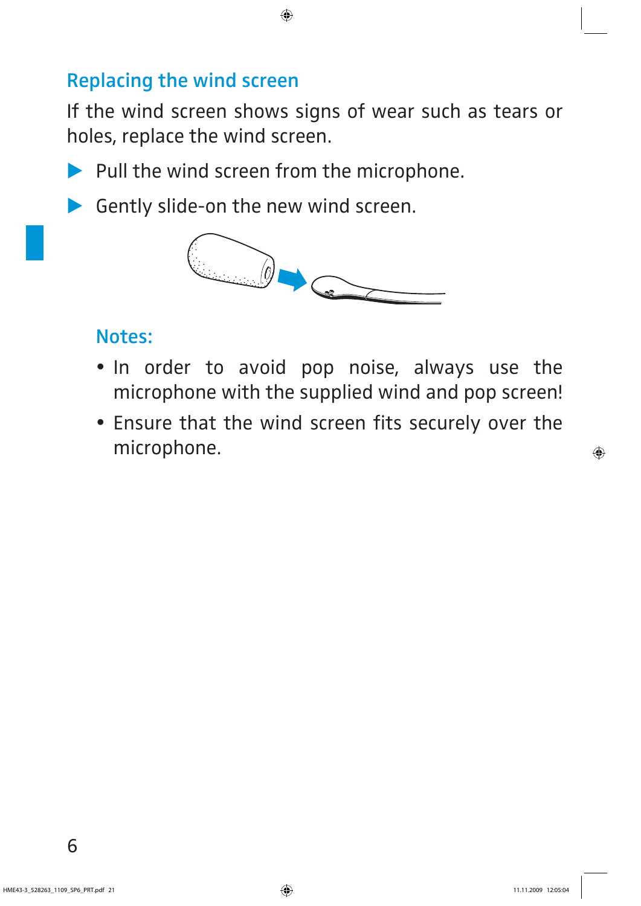#### **Replacing the wind screen**

If the wind screen shows signs of wear such as tears or holes, replace the wind screen.

- Pull the wind screen from the microphone.
- Gently slide-on the new wind screen.



#### **Notes:**

- . In order to avoid pop noise, always use the microphone with the supplied wind and pop screen!
- Ensure that the wind screen fits securely over the microphone.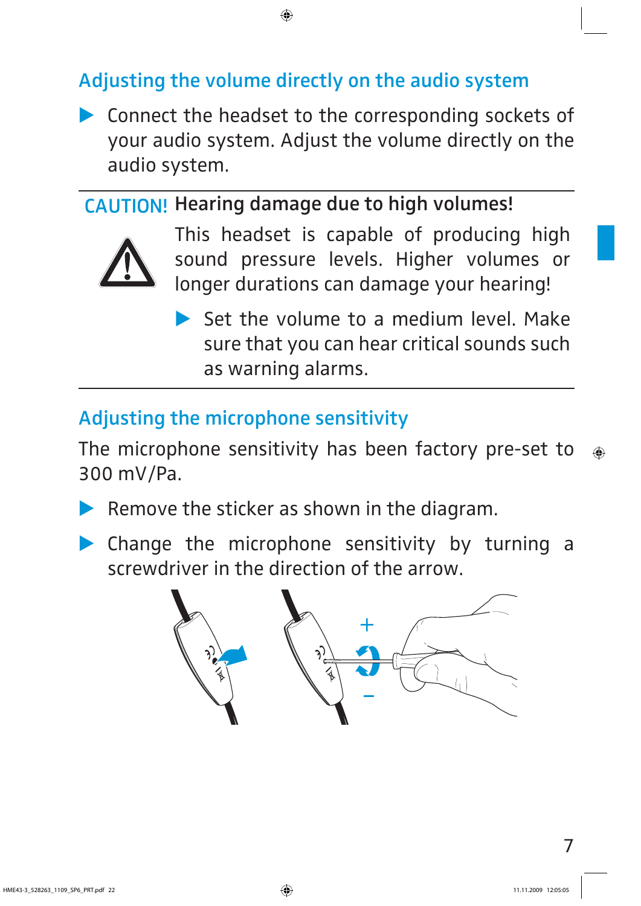#### **Adjusting the volume directly on the audio system**

**EX Connect the headset to the corresponding sockets of** your audio system. Adjust the volume directly on the audio system.

#### **CAUTION! Hearing damage due to high volumes!**



This headset is capable of producing high sound pressure levels. Higher volumes or longer durations can damage your hearing!

Set the volume to a medium level. Make sure that you can hear critical sounds such as warning alarms.

#### **Adjusting the microphone sensitivity**

The microphone sensitivity has been factory pre-set to 300 mV/Pa.

- $\blacktriangleright$ Remove the sticker as shown in the diagram.
- - Change the microphone sensitivity by turning a screwdriver in the direction of the arrow.

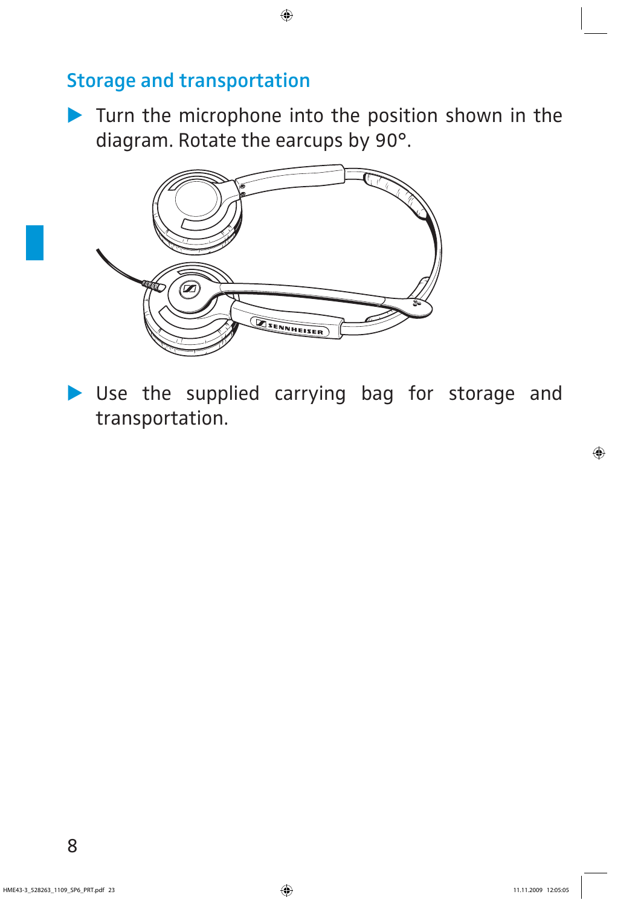#### **Storage and transportation**

 $\blacktriangleright$  Turn the microphone into the position shown in the diagram. Rotate the earcups by 90°.



- Use the supplied carrying bag for storage and transportation.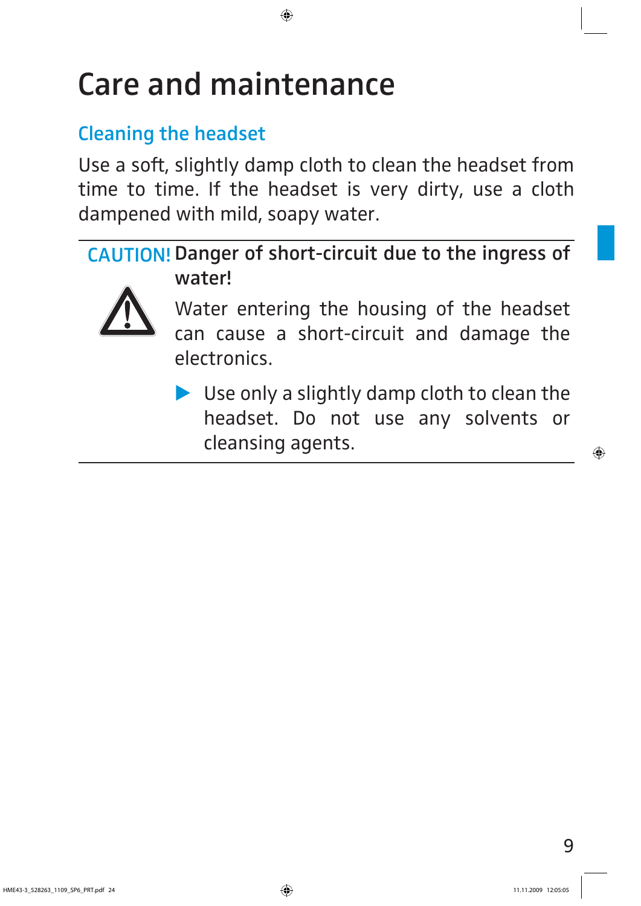### **Care and maintenance**

#### **Cleaning the headset**

Use a soft, slightly damp cloth to clean the headset from time to time. If the headset is very dirty, use a cloth dampened with mild, soapy water.

CAUTION! Danger of short-circuit due to the ingress of **water!**



Water entering the housing of the headset can cause a short-circuit and damage the electronics.

▶ Use only a slightly damp cloth to clean the headset. Do not use any solvents or cleansing agents.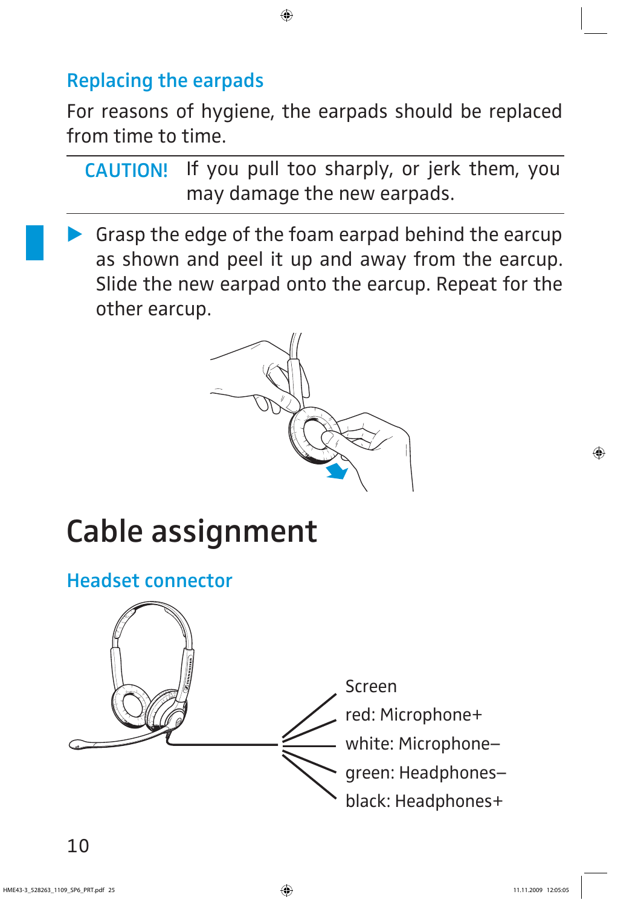#### **Replacing the earpads**

For reasons of hygiene, the earpads should be replaced from time to time.

If you pull too sharply, or jerk them, you may damage the new earpads. **CAUTION!**

- Grasp the edge of the foam earpad behind the earcup as shown and peel it up and away from the earcup. Slide the new earpad onto the earcup. Repeat for the other earcup.



### **Cable assignment**

#### **Headset connector**

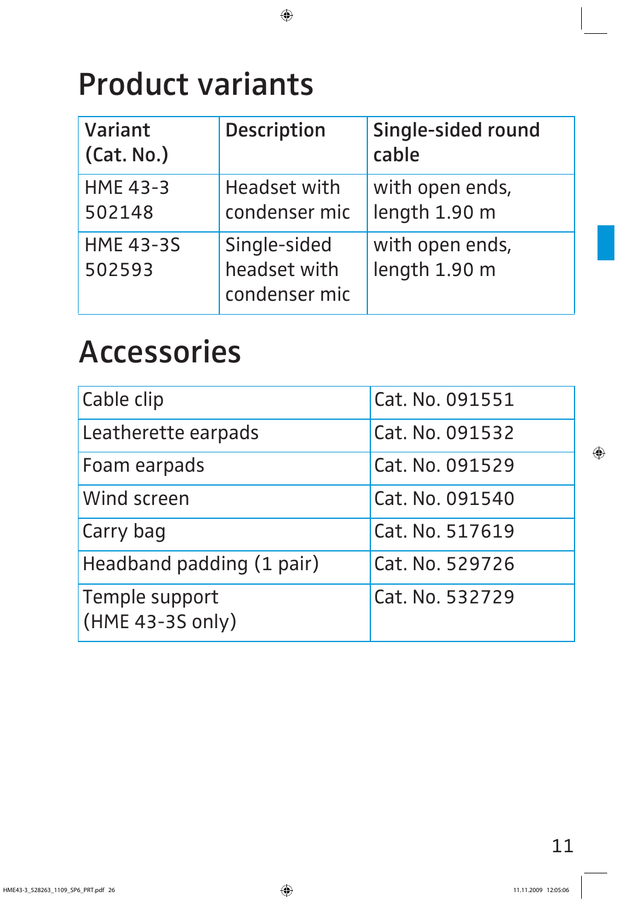### **Product variants**

| Variant<br>(Cat. No.)      | Description                                   | Single-sided round<br>cable      |
|----------------------------|-----------------------------------------------|----------------------------------|
| <b>HME 43-3</b><br>502148  | Headset with<br>condenser mic                 | with open ends,<br>length 1.90 m |
| <b>HME 43-3S</b><br>502593 | Single-sided<br>headset with<br>condenser mic | with open ends,<br>length 1.90 m |

### **Accessories**

| Cable clip                         | Cat. No. 091551 |  |
|------------------------------------|-----------------|--|
| Leatherette earpads                | Cat. No. 091532 |  |
| Foam earpads                       | Cat. No. 091529 |  |
| Wind screen                        | Cat. No. 091540 |  |
| Carry bag                          | Cat. No. 517619 |  |
| Headband padding (1 pair)          | Cat. No. 529726 |  |
| Temple support<br>(HME 43-3S only) | Cat. No. 532729 |  |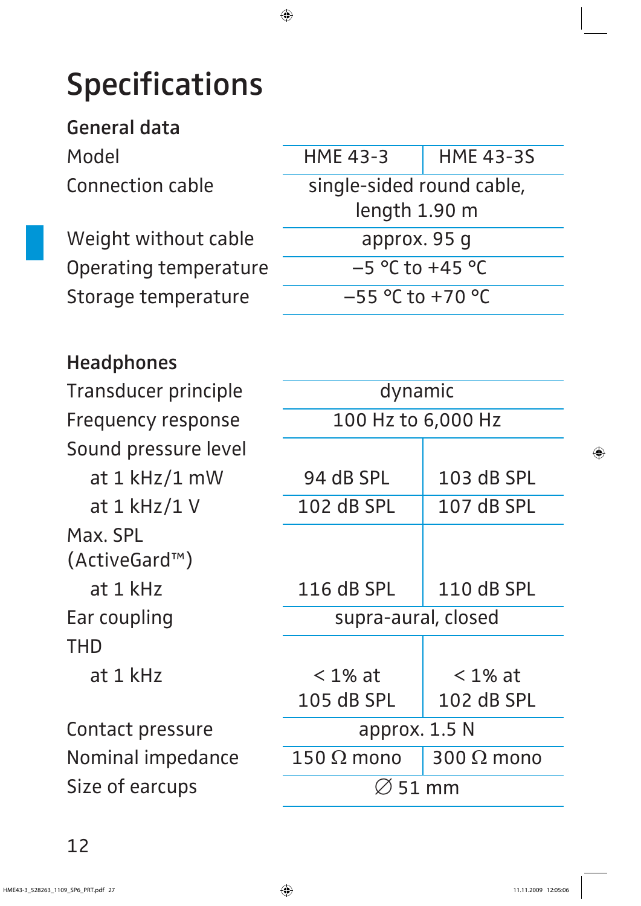## **Specifications**

**General data** Connection cable

Weight without cable Operating temperature Storage temperature

| <b>Headphones</b> |
|-------------------|
|-------------------|

Transducer principle Frequency response Sound pressure level at  $1$  kHz/ $1$  mW at  $1$  kHz/ $1$  V Max. SPL (ActiveGard™) at 1 kHz Ear coupling THD at 1 kHz

Contact pressure Nominal impedance Size of earcups

| Model                        | <b>HME 43-3</b>           | <b>HME 43-3S</b> |
|------------------------------|---------------------------|------------------|
| <b>Connection cable</b>      | single-sided round cable, |                  |
|                              | length 1.90 m             |                  |
| Weight without cable         | approx. 95 q              |                  |
| <b>Operating temperature</b> | $-5$ °C to +45 °C         |                  |
| Storage temperature          | $-55$ °C to +70 °C        |                  |

| dynamic             |                   |  |  |  |
|---------------------|-------------------|--|--|--|
| 100 Hz to 6,000 Hz  |                   |  |  |  |
|                     |                   |  |  |  |
| 94 dB SPL           | 103 dB SPL        |  |  |  |
| <b>102 dB SPL</b>   | 107 dB SPL        |  |  |  |
|                     |                   |  |  |  |
|                     |                   |  |  |  |
| 116 dB SPL          | 110 dB SPL        |  |  |  |
| supra-aural, closed |                   |  |  |  |
|                     |                   |  |  |  |
| $<$ 1% at           | $< 1\%$ at        |  |  |  |
| 105 dB SPL          | 102 dB SPL        |  |  |  |
| approx. 1.5 N       |                   |  |  |  |
| $150\ \Omega$ mono  | 300 $\Omega$ mono |  |  |  |
| 51 mm               |                   |  |  |  |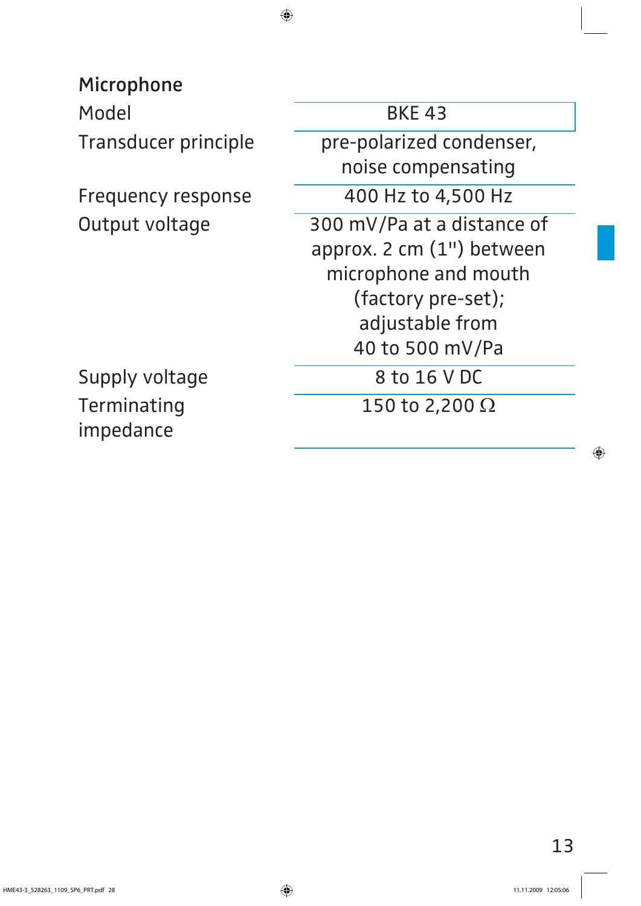**Microphone**

Model BKE 43

Terminating impedance

Transducer principle pre-polarized condenser, noise compensating Frequency response 400 Hz to 4,500 Hz Output voltage 300 mV/Pa at a distance of approx. 2 cm (1") between microphone and mouth (factory pre-set); adjustable from 40 to 500 mV/Pa Supply voltage 8 to 16 V DC  $\overline{150}$  to 2,200  $\overline{\Omega}$